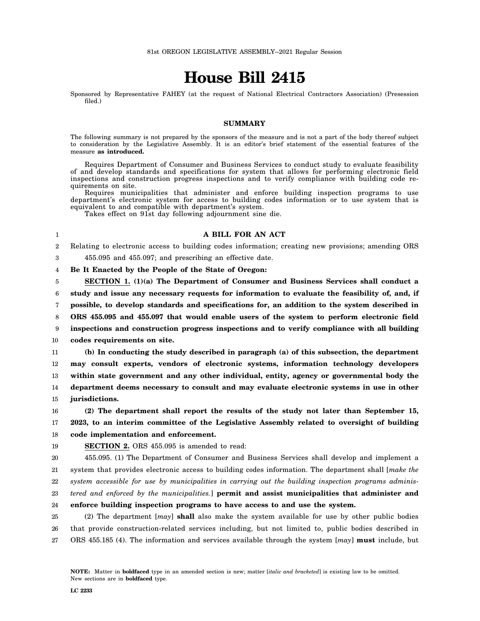# **House Bill 2415**

Sponsored by Representative FAHEY (at the request of National Electrical Contractors Association) (Presession filed.)

# **SUMMARY**

The following summary is not prepared by the sponsors of the measure and is not a part of the body thereof subject to consideration by the Legislative Assembly. It is an editor's brief statement of the essential features of the measure **as introduced.**

Requires Department of Consumer and Business Services to conduct study to evaluate feasibility of and develop standards and specifications for system that allows for performing electronic field inspections and construction progress inspections and to verify compliance with building code requirements on site.

Requires municipalities that administer and enforce building inspection programs to use department's electronic system for access to building codes information or to use system that is equivalent to and compatible with department's system.

Takes effect on 91st day following adjournment sine die.

# **A BILL FOR AN ACT**

2 Relating to electronic access to building codes information; creating new provisions; amending ORS

3 455.095 and 455.097; and prescribing an effective date.

4 **Be It Enacted by the People of the State of Oregon:**

5 6 7 8 9 10 11 **SECTION 1. (1)(a) The Department of Consumer and Business Services shall conduct a study and issue any necessary requests for information to evaluate the feasibility of, and, if possible, to develop standards and specifications for, an addition to the system described in ORS 455.095 and 455.097 that would enable users of the system to perform electronic field inspections and construction progress inspections and to verify compliance with all building codes requirements on site. (b) In conducting the study described in paragraph (a) of this subsection, the department**

12 13 14 15 **may consult experts, vendors of electronic systems, information technology developers within state government and any other individual, entity, agency or governmental body the department deems necessary to consult and may evaluate electronic systems in use in other jurisdictions.**

16 17 **(2) The department shall report the results of the study not later than September 15, 2023, to an interim committee of the Legislative Assembly related to oversight of building**

18 **code implementation and enforcement.**

19

1

**SECTION 2.** ORS 455.095 is amended to read:

20 21 455.095. (1) The Department of Consumer and Business Services shall develop and implement a system that provides electronic access to building codes information. The department shall [*make the*

22 *system accessible for use by municipalities in carrying out the building inspection programs adminis-*

23 *tered and enforced by the municipalities.*] **permit and assist municipalities that administer and**

#### 24 **enforce building inspection programs to have access to and use the system.**

25 26 27 (2) The department [*may*] **shall** also make the system available for use by other public bodies that provide construction-related services including, but not limited to, public bodies described in ORS 455.185 (4). The information and services available through the system [*may*] **must** include, but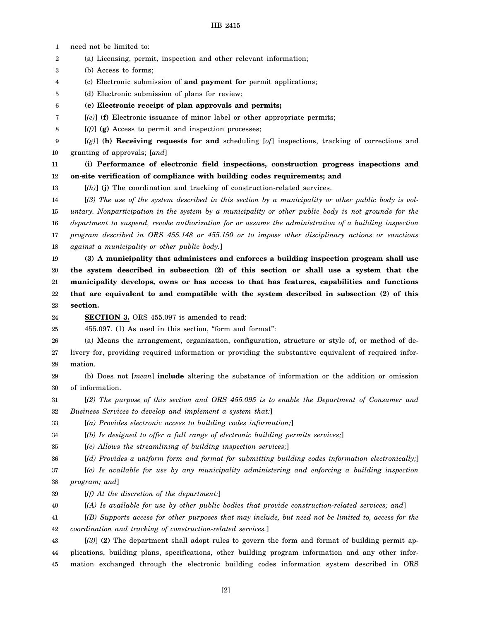# HB 2415

1 need not be limited to:

2 (a) Licensing, permit, inspection and other relevant information;

3 (b) Access to forms;

- 4 (c) Electronic submission of **and payment for** permit applications;
- 5 (d) Electronic submission of plans for review;
- 6 **(e) Electronic receipt of plan approvals and permits;**
- 7 [*(e)*] **(f)** Electronic issuance of minor label or other appropriate permits;
- 8 [*(f)*] **(g)** Access to permit and inspection processes;
- 9 10 [*(g)*] **(h) Receiving requests for and** scheduling [*of*] inspections, tracking of corrections and granting of approvals; [*and*]
- 11 12 **(i) Performance of electronic field inspections, construction progress inspections and on-site verification of compliance with building codes requirements; and**
- 13 [*(h)*] **(j)** The coordination and tracking of construction-related services.

14 15 16 17 18 [*(3) The use of the system described in this section by a municipality or other public body is voluntary. Nonparticipation in the system by a municipality or other public body is not grounds for the department to suspend, revoke authorization for or assume the administration of a building inspection program described in ORS 455.148 or 455.150 or to impose other disciplinary actions or sanctions against a municipality or other public body.*]

19 20 21 22 23 **(3) A municipality that administers and enforces a building inspection program shall use the system described in subsection (2) of this section or shall use a system that the municipality develops, owns or has access to that has features, capabilities and functions that are equivalent to and compatible with the system described in subsection (2) of this section.**

24

**SECTION 3.** ORS 455.097 is amended to read:

25 455.097. (1) As used in this section, "form and format":

26 27 28 (a) Means the arrangement, organization, configuration, structure or style of, or method of delivery for, providing required information or providing the substantive equivalent of required information.

29 30 (b) Does not [*mean*] **include** altering the substance of information or the addition or omission of information.

31 32 [*(2) The purpose of this section and ORS 455.095 is to enable the Department of Consumer and Business Services to develop and implement a system that:*]

33 [*(a) Provides electronic access to building codes information;*]

34 [*(b) Is designed to offer a full range of electronic building permits services;*]

35 [*(c) Allows the streamlining of building inspection services;*]

36 [*(d) Provides a uniform form and format for submitting building codes information electronically;*]

37 38 [*(e) Is available for use by any municipality administering and enforcing a building inspection program; and*]

- 39 [*(f) At the discretion of the department:*]
- 40 [*(A) Is available for use by other public bodies that provide construction-related services; and*]
- 41 [*(B) Supports access for other purposes that may include, but need not be limited to, access for the*

42 *coordination and tracking of construction-related services.*]

43 44 45 [*(3)*] **(2)** The department shall adopt rules to govern the form and format of building permit applications, building plans, specifications, other building program information and any other information exchanged through the electronic building codes information system described in ORS